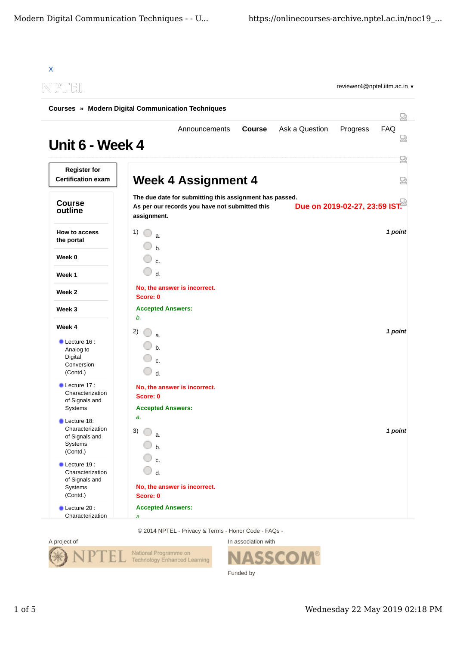| NPTOEIL                                                                            |                                                                      |                                                                                                           |               |                | reviewer4@nptel.iitm.ac.in v  |          |
|------------------------------------------------------------------------------------|----------------------------------------------------------------------|-----------------------------------------------------------------------------------------------------------|---------------|----------------|-------------------------------|----------|
| <b>Courses » Modern Digital Communication Techniques</b>                           |                                                                      |                                                                                                           |               |                |                               |          |
| Unit 6 - Week 4                                                                    |                                                                      | Announcements                                                                                             | <b>Course</b> | Ask a Question | Progress                      | FAQ<br>Ы |
| <b>Register for</b><br><b>Certification exam</b>                                   |                                                                      | <b>Week 4 Assignment 4</b>                                                                                |               |                |                               | 罔<br>요   |
| <b>Course</b><br>outline                                                           | assignment.                                                          | The due date for submitting this assignment has passed.<br>As per our records you have not submitted this |               |                | Due on 2019-02-27, 23:59 IST. |          |
| <b>How to access</b><br>the portal                                                 | 1)<br>$\mathbf{a}$<br>$h_{1}$                                        |                                                                                                           |               |                |                               | 1 point  |
| Week 0                                                                             | $\mathbf{c}$ .                                                       |                                                                                                           |               |                |                               |          |
| Week 1                                                                             | 0<br>$d$ .                                                           |                                                                                                           |               |                |                               |          |
| Week 2                                                                             | No, the answer is incorrect.<br>Score: 0                             |                                                                                                           |               |                |                               |          |
| Week 3                                                                             | <b>Accepted Answers:</b>                                             |                                                                                                           |               |                |                               |          |
| Week 4                                                                             | b.<br>2)                                                             |                                                                                                           |               |                |                               | 1 point  |
| $\blacksquare$ Lecture 16 :<br>Analog to<br>Digital<br>Conversion<br>(Contd.)      | a.<br>$b$<br>$\mathbf{c}$<br>0<br>$d$ .                              |                                                                                                           |               |                |                               |          |
| Lecture 17:<br>Characterization<br>of Signals and<br>Systems                       | No, the answer is incorrect.<br>Score: 0<br><b>Accepted Answers:</b> |                                                                                                           |               |                |                               |          |
| Lecture 18:<br>Characterization<br>of Signals and<br>Systems<br>(Contd.)           | a.<br>3)<br>a.<br>h.                                                 |                                                                                                           |               |                |                               | 1 point  |
| $\bullet$ Lecture 19:<br>Characterization<br>of Signals and<br>Systems<br>(Contd.) | c.<br>d.<br>No, the answer is incorrect.<br>Score: 0                 |                                                                                                           |               |                |                               |          |
| Lecture 20:                                                                        | <b>Accepted Answers:</b>                                             |                                                                                                           |               |                |                               |          |

© 2014 NPTEL - Privacy & Terms - Honor Code - FAQs -



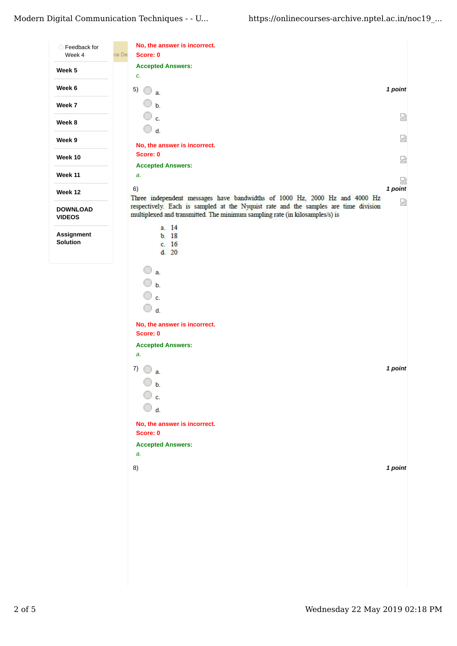| Feedback for                     |       | No, the answer is incorrect.                                                                                                                                        |         |
|----------------------------------|-------|---------------------------------------------------------------------------------------------------------------------------------------------------------------------|---------|
| Week 4                           | ce De | Score: 0                                                                                                                                                            |         |
| Week 5                           |       | <b>Accepted Answers:</b>                                                                                                                                            |         |
|                                  |       | c.                                                                                                                                                                  |         |
| Week 6                           |       | 5)<br>a.                                                                                                                                                            | 1 point |
| Week 7                           |       | $\mathbf b$ .                                                                                                                                                       |         |
| Week 8                           |       | c.                                                                                                                                                                  | 얺       |
|                                  |       | $\Box$ d.                                                                                                                                                           |         |
| Week 9                           |       | No, the answer is incorrect.                                                                                                                                        | 얺       |
| Week 10                          |       | Score: 0                                                                                                                                                            | 얺       |
|                                  |       | <b>Accepted Answers:</b>                                                                                                                                            |         |
| <b>Week 11</b>                   |       | a.                                                                                                                                                                  | 얺       |
| Week 12                          |       | 6)<br>Three independent messages have bandwidths of 1000 Hz, 2000 Hz and 4000 Hz                                                                                    | 1 point |
| <b>DOWNLOAD</b><br><b>VIDEOS</b> |       | respectively. Each is sampled at the Nyquist rate and the samples are time division<br>multiplexed and transmitted. The minimum sampling rate (in kilosamples/s) is | 얺       |
|                                  |       | a. 14                                                                                                                                                               |         |
| Assignment<br>Solution           |       | b.18<br>c. 16                                                                                                                                                       |         |
|                                  |       | d.20                                                                                                                                                                |         |
|                                  |       | a.<br>b.<br>$\mathbf{c}$ .<br>$\bigcirc$ d.                                                                                                                         |         |
|                                  |       | No, the answer is incorrect.<br>Score: 0                                                                                                                            |         |
|                                  |       | <b>Accepted Answers:</b>                                                                                                                                            |         |
|                                  |       | a.                                                                                                                                                                  |         |
|                                  |       | 7)<br>a.                                                                                                                                                            | 1 point |
|                                  |       | b.                                                                                                                                                                  |         |
|                                  |       | ○ c.<br>0<br>d.                                                                                                                                                     |         |
|                                  |       | No, the answer is incorrect.                                                                                                                                        |         |
|                                  |       | Score: 0                                                                                                                                                            |         |
|                                  |       | <b>Accepted Answers:</b>                                                                                                                                            |         |
|                                  |       | a.                                                                                                                                                                  |         |
|                                  |       | 8)                                                                                                                                                                  | 1 point |
|                                  |       |                                                                                                                                                                     |         |
|                                  |       |                                                                                                                                                                     |         |
|                                  |       |                                                                                                                                                                     |         |
|                                  |       |                                                                                                                                                                     |         |
|                                  |       |                                                                                                                                                                     |         |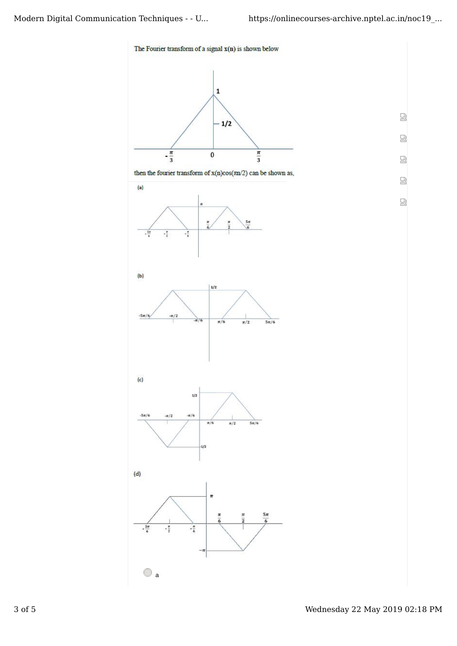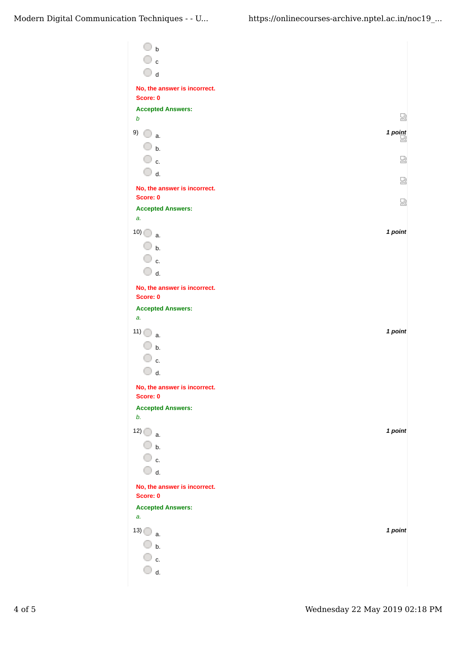| $\overline{\mathsf{C}}$ b                     |         |
|-----------------------------------------------|---------|
| $\mathbb O$ c                                 |         |
| $\bigcirc$ d                                  |         |
| No, the answer is incorrect.                  |         |
| Score: 0<br><b>Accepted Answers:</b>          |         |
| $\boldsymbol{b}$                              | 恳       |
| 9)<br>0<br>a.                                 | 1 point |
| $\overline{\mathbb{O}}$ b.                    |         |
| ○ c.                                          | 쩒       |
| $\bigcirc$ d.<br>No, the answer is incorrect. | 쩒       |
| Score: 0                                      | 쩜       |
| <b>Accepted Answers:</b>                      |         |
| a.                                            |         |
| $10)$ a.                                      | 1 point |
| $\Box$ b.                                     |         |
| ○ c.<br>$\bigcirc$ d.                         |         |
| No, the answer is incorrect.                  |         |
| Score: 0                                      |         |
| <b>Accepted Answers:</b>                      |         |
| a.                                            |         |
| 11)<br>a.                                     | 1 point |
| $\Box$ b.                                     |         |
| ○ c.                                          |         |
| d.<br>No, the answer is incorrect.            |         |
| Score: 0                                      |         |
| <b>Accepted Answers:</b>                      |         |
| b.                                            |         |
| $12)$ a.                                      | 1 point |
| $\Box$ b.<br>◯ c.                             |         |
| $\overline{\mathbb{O}}$ d.                    |         |
|                                               |         |
| No, the answer is incorrect.<br>Score: 0      |         |
| <b>Accepted Answers:</b>                      |         |
| a.                                            |         |
| $13)$ a.                                      | 1 point |
| $\Box$ b.                                     |         |
| ◯ c.                                          |         |
| d.                                            |         |